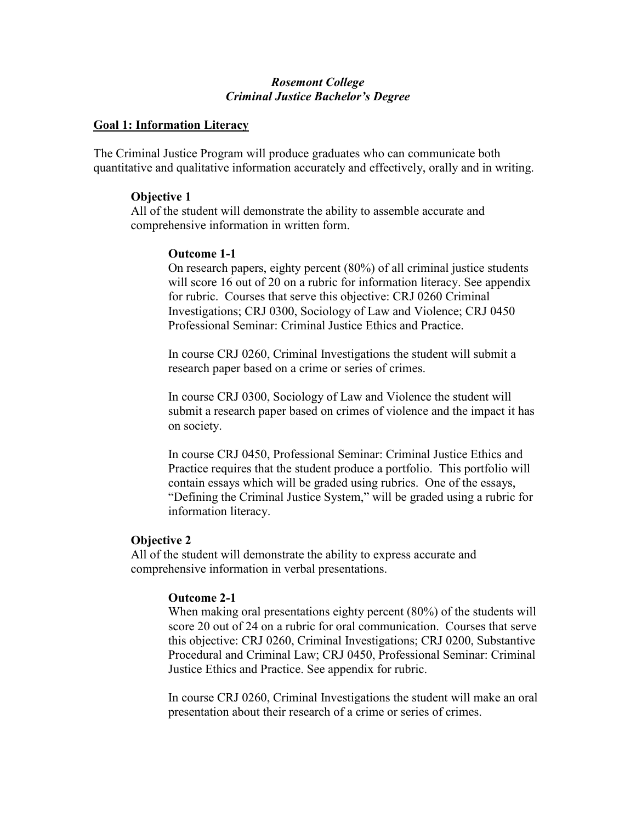# Rosemont College Criminal Justice Bachelor's Degree

## Goal 1: Information Literacy

The Criminal Justice Program will produce graduates who can communicate both quantitative and qualitative information accurately and effectively, orally and in writing.

### Objective 1

All of the student will demonstrate the ability to assemble accurate and comprehensive information in written form.

## Outcome 1-1

On research papers, eighty percent (80%) of all criminal justice students will score 16 out of 20 on a rubric for information literacy. See appendix for rubric. Courses that serve this objective: CRJ 0260 Criminal Investigations; CRJ 0300, Sociology of Law and Violence; CRJ 0450 Professional Seminar: Criminal Justice Ethics and Practice.

In course CRJ 0260, Criminal Investigations the student will submit a research paper based on a crime or series of crimes.

In course CRJ 0300, Sociology of Law and Violence the student will submit a research paper based on crimes of violence and the impact it has on society.

In course CRJ 0450, Professional Seminar: Criminal Justice Ethics and Practice requires that the student produce a portfolio. This portfolio will contain essays which will be graded using rubrics. One of the essays, "Defining the Criminal Justice System," will be graded using a rubric for information literacy.

### Objective 2

All of the student will demonstrate the ability to express accurate and comprehensive information in verbal presentations.

### Outcome 2-1

When making oral presentations eighty percent (80%) of the students will score 20 out of 24 on a rubric for oral communication. Courses that serve this objective: CRJ 0260, Criminal Investigations; CRJ 0200, Substantive Procedural and Criminal Law; CRJ 0450, Professional Seminar: Criminal Justice Ethics and Practice. See appendix for rubric.

In course CRJ 0260, Criminal Investigations the student will make an oral presentation about their research of a crime or series of crimes.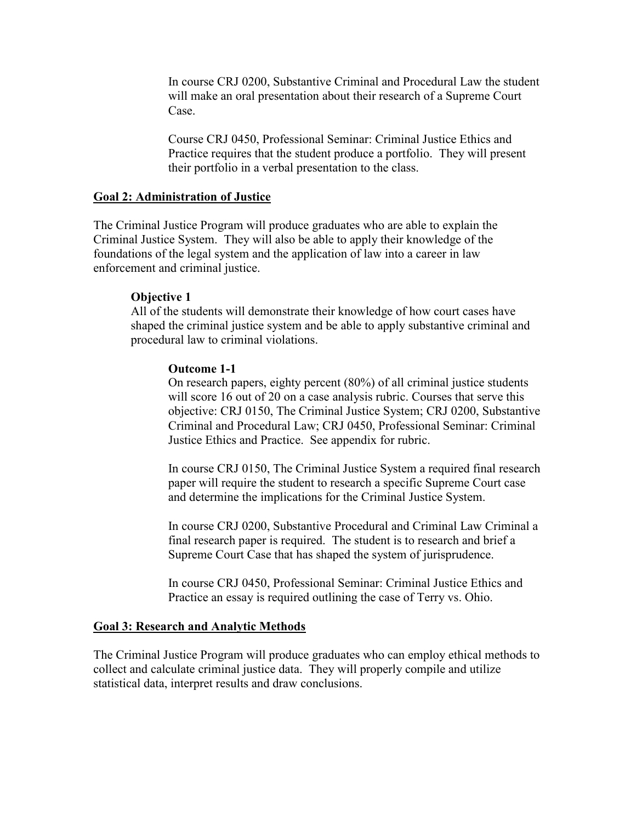In course CRJ 0200, Substantive Criminal and Procedural Law the student will make an oral presentation about their research of a Supreme Court Case.

Course CRJ 0450, Professional Seminar: Criminal Justice Ethics and Practice requires that the student produce a portfolio. They will present their portfolio in a verbal presentation to the class.

# Goal 2: Administration of Justice

The Criminal Justice Program will produce graduates who are able to explain the Criminal Justice System. They will also be able to apply their knowledge of the foundations of the legal system and the application of law into a career in law enforcement and criminal justice.

# Objective 1

All of the students will demonstrate their knowledge of how court cases have shaped the criminal justice system and be able to apply substantive criminal and procedural law to criminal violations.

# Outcome 1-1

On research papers, eighty percent (80%) of all criminal justice students will score 16 out of 20 on a case analysis rubric. Courses that serve this objective: CRJ 0150, The Criminal Justice System; CRJ 0200, Substantive Criminal and Procedural Law; CRJ 0450, Professional Seminar: Criminal Justice Ethics and Practice. See appendix for rubric.

In course CRJ 0150, The Criminal Justice System a required final research paper will require the student to research a specific Supreme Court case and determine the implications for the Criminal Justice System.

In course CRJ 0200, Substantive Procedural and Criminal Law Criminal a final research paper is required. The student is to research and brief a Supreme Court Case that has shaped the system of jurisprudence.

In course CRJ 0450, Professional Seminar: Criminal Justice Ethics and Practice an essay is required outlining the case of Terry vs. Ohio.

# Goal 3: Research and Analytic Methods

The Criminal Justice Program will produce graduates who can employ ethical methods to collect and calculate criminal justice data. They will properly compile and utilize statistical data, interpret results and draw conclusions.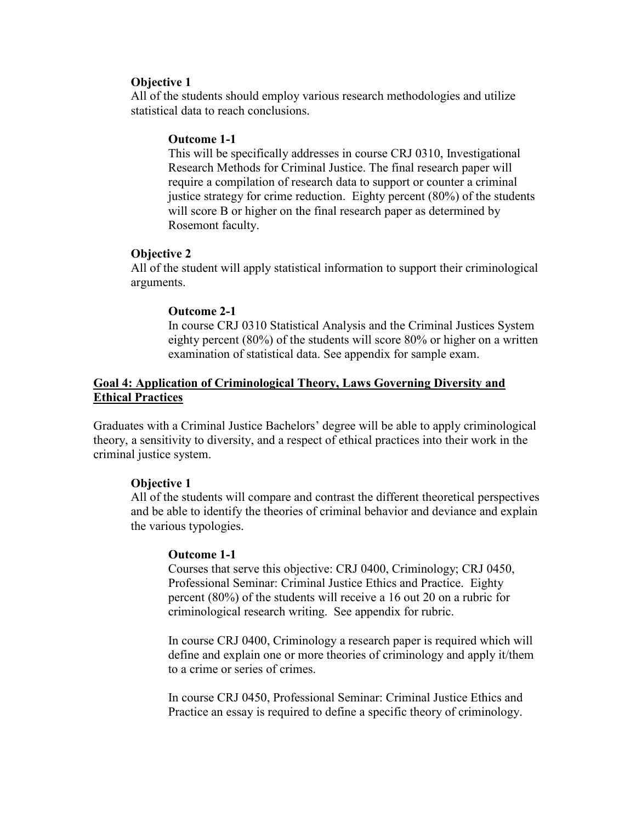## Objective 1

All of the students should employ various research methodologies and utilize statistical data to reach conclusions.

# Outcome 1-1

This will be specifically addresses in course CRJ 0310, Investigational Research Methods for Criminal Justice. The final research paper will require a compilation of research data to support or counter a criminal justice strategy for crime reduction. Eighty percent (80%) of the students will score B or higher on the final research paper as determined by Rosemont faculty.

# Objective 2

All of the student will apply statistical information to support their criminological arguments.

## Outcome 2-1

In course CRJ 0310 Statistical Analysis and the Criminal Justices System eighty percent (80%) of the students will score 80% or higher on a written examination of statistical data. See appendix for sample exam.

# Goal 4: Application of Criminological Theory, Laws Governing Diversity and Ethical Practices

Graduates with a Criminal Justice Bachelors' degree will be able to apply criminological theory, a sensitivity to diversity, and a respect of ethical practices into their work in the criminal justice system.

# Objective 1

All of the students will compare and contrast the different theoretical perspectives and be able to identify the theories of criminal behavior and deviance and explain the various typologies.

### Outcome 1-1

Courses that serve this objective: CRJ 0400, Criminology; CRJ 0450, Professional Seminar: Criminal Justice Ethics and Practice. Eighty percent (80%) of the students will receive a 16 out 20 on a rubric for criminological research writing. See appendix for rubric.

In course CRJ 0400, Criminology a research paper is required which will define and explain one or more theories of criminology and apply it/them to a crime or series of crimes.

In course CRJ 0450, Professional Seminar: Criminal Justice Ethics and Practice an essay is required to define a specific theory of criminology.